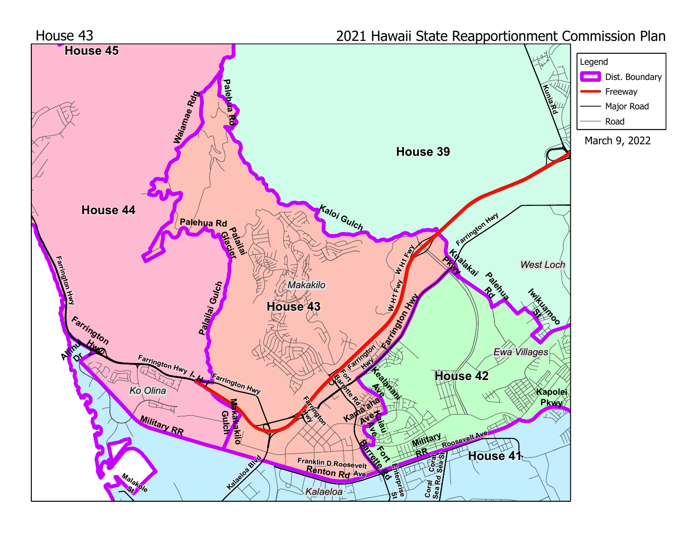